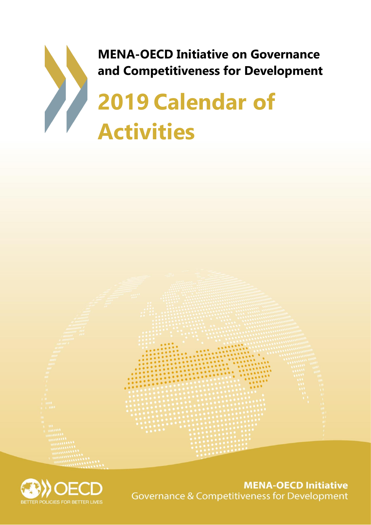





**MENA-OECD Initiative Governance & Competitiveness for Development**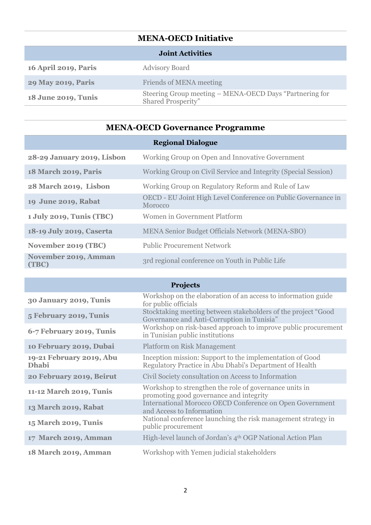## **MENA-OECD Initiative**

| <b>Joint Activities</b>     |                                                                                      |  |
|-----------------------------|--------------------------------------------------------------------------------------|--|
| <b>16 April 2019, Paris</b> | <b>Advisory Board</b>                                                                |  |
| <b>29 May 2019, Paris</b>   | Friends of MENA meeting                                                              |  |
| 18 June 2019, Tunis         | Steering Group meeting - MENA-OECD Days "Partnering for<br><b>Shared Prosperity"</b> |  |
|                             |                                                                                      |  |

## **MENA-OECD Governance Programme**

|                               | <b>Regional Dialogue</b>                                                 |
|-------------------------------|--------------------------------------------------------------------------|
| 28-29 January 2019, Lisbon    | Working Group on Open and Innovative Government                          |
| <b>18 March 2019, Paris</b>   | Working Group on Civil Service and Integrity (Special Session)           |
| 28 March 2019, Lisbon         | Working Group on Regulatory Reform and Rule of Law                       |
| 19 June 2019, Rabat           | OECD - EU Joint High Level Conference on Public Governance in<br>Morocco |
| 1 July 2019, Tunis (TBC)      | Women in Government Platform                                             |
| 18-19 July 2019, Caserta      | <b>MENA Senior Budget Officials Network (MENA-SBO)</b>                   |
| November 2019 (TBC)           | <b>Public Procurement Network</b>                                        |
| November 2019, Amman<br>(TBC) | 3rd regional conference on Youth in Public Life                          |

| <b>Projects</b>                          |                                                                                                                     |  |
|------------------------------------------|---------------------------------------------------------------------------------------------------------------------|--|
| 30 January 2019, Tunis                   | Workshop on the elaboration of an access to information guide<br>for public officials                               |  |
| 5 February 2019, Tunis                   | Stocktaking meeting between stakeholders of the project "Good<br>Governance and Anti-Corruption in Tunisia"         |  |
| 6-7 February 2019, Tunis                 | Workshop on risk-based approach to improve public procurement<br>in Tunisian public institutions                    |  |
| 10 February 2019, Dubai                  | <b>Platform on Risk Management</b>                                                                                  |  |
| 19-21 February 2019, Abu<br><b>Dhabi</b> | Inception mission: Support to the implementation of Good<br>Regulatory Practice in Abu Dhabi's Department of Health |  |
| 20 February 2019, Beirut                 | Civil Society consultation on Access to Information                                                                 |  |
| 11-12 March 2019, Tunis                  | Workshop to strengthen the role of governance units in<br>promoting good governance and integrity                   |  |
| 13 March 2019, Rabat                     | International Morocco OECD Conference on Open Government<br>and Access to Information                               |  |
| 15 March 2019, Tunis                     | National conference launching the risk management strategy in<br>public procurement                                 |  |
| 17 March 2019, Amman                     | High-level launch of Jordan's 4 <sup>th</sup> OGP National Action Plan                                              |  |
| <b>18 March 2019, Amman</b>              | Workshop with Yemen judicial stakeholders                                                                           |  |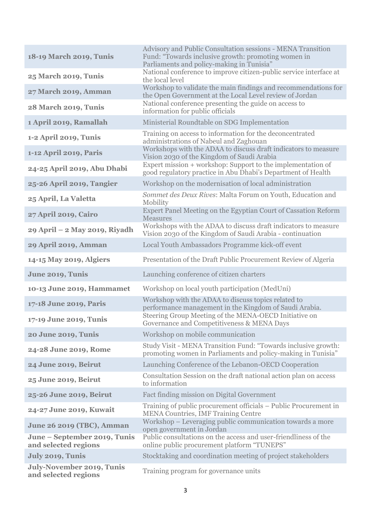| 18-19 March 2019, Tunis                                  | Advisory and Public Consultation sessions - MENA Transition<br>Fund: "Towards inclusive growth: promoting women in<br>Parliaments and policy-making in Tunisia" |
|----------------------------------------------------------|-----------------------------------------------------------------------------------------------------------------------------------------------------------------|
| 25 March 2019, Tunis                                     | National conference to improve citizen-public service interface at<br>the local level                                                                           |
| 27 March 2019, Amman                                     | Workshop to validate the main findings and recommendations for<br>the Open Government at the Local Level review of Jordan                                       |
| <b>28 March 2019, Tunis</b>                              | National conference presenting the guide on access to<br>information for public officials                                                                       |
| 1 April 2019, Ramallah                                   | Ministerial Roundtable on SDG Implementation                                                                                                                    |
| 1-2 April 2019, Tunis                                    | Training on access to information for the deconcentrated<br>administrations of Nabeul and Zaghouan                                                              |
| 1-12 April 2019, Paris                                   | Workshops with the ADAA to discuss draft indicators to measure<br>Vision 2030 of the Kingdom of Saudi Arabia                                                    |
| 24-25 April 2019, Abu Dhabi                              | Expert mission + workshop: Support to the implementation of<br>good regulatory practice in Abu Dhabi's Department of Health                                     |
| 25-26 April 2019, Tangier                                | Workshop on the modernisation of local administration                                                                                                           |
| 25 April, La Valetta                                     | Sommet des Deux Rives: Malta Forum on Youth, Education and<br>Mobility                                                                                          |
| 27 April 2019, Cairo                                     | Expert Panel Meeting on the Egyptian Court of Cassation Reform<br><b>Measures</b>                                                                               |
| 29 April - 2 May 2019, Riyadh                            | Workshops with the ADAA to discuss draft indicators to measure<br>Vision 2030 of the Kingdom of Saudi Arabia - continuation                                     |
| 29 April 2019, Amman                                     | Local Youth Ambassadors Programme kick-off event                                                                                                                |
| 14-15 May 2019, Algiers                                  | Presentation of the Draft Public Procurement Review of Algeria                                                                                                  |
| June 2019, Tunis                                         | Launching conference of citizen charters                                                                                                                        |
| 10-13 June 2019, Hammamet                                | Workshop on local youth participation (MedUni)                                                                                                                  |
| 17-18 June 2019, Paris                                   | Workshop with the ADAA to discuss topics related to<br>performance management in the Kingdom of Saudi Arabia.                                                   |
| 17-19 June 2019, Tunis                                   | Steering Group Meeting of the MENA-OECD Initiative on<br>Governance and Competitiveness & MENA Days                                                             |
| 20 June 2019, Tunis                                      | Workshop on mobile communication                                                                                                                                |
| 24-28 June 2019, Rome                                    | Study Visit - MENA Transition Fund: "Towards inclusive growth:<br>promoting women in Parliaments and policy-making in Tunisia"                                  |
| 24 June 2019, Beirut                                     | Launching Conference of the Lebanon-OECD Cooperation                                                                                                            |
| 25 June 2019, Beirut                                     | Consultation Session on the draft national action plan on access<br>to information                                                                              |
| 25-26 June 2019, Beirut                                  | Fact finding mission on Digital Government                                                                                                                      |
| 24-27 June 2019, Kuwait                                  | Training of public procurement officials – Public Procurement in<br><b>MENA Countries, IMF Training Centre</b>                                                  |
| <b>June 26 2019 (TBC), Amman</b>                         | Workshop – Leveraging public communication towards a more<br>open government in Jordan                                                                          |
| June – September 2019, Tunis<br>and selected regions     | Public consultations on the access and user-friendliness of the<br>online public procurement platform "TUNEPS"                                                  |
| July 2019, Tunis                                         | Stocktaking and coordination meeting of project stakeholders                                                                                                    |
| <b>July-November 2019, Tunis</b><br>and selected regions | Training program for governance units                                                                                                                           |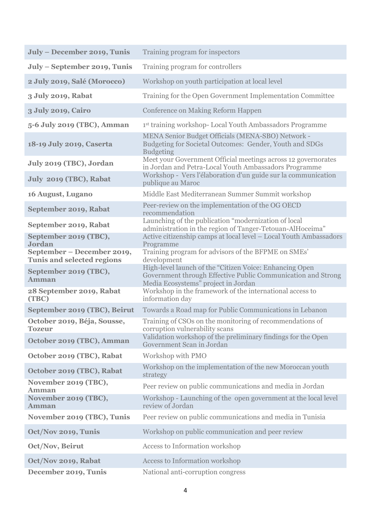| July - December 2019, Tunis                                     | Training program for inspectors                                                                                                                                |
|-----------------------------------------------------------------|----------------------------------------------------------------------------------------------------------------------------------------------------------------|
| July - September 2019, Tunis                                    | Training program for controllers                                                                                                                               |
| 2 July 2019, Salé (Morocco)                                     | Workshop on youth participation at local level                                                                                                                 |
| 3 July 2019, Rabat                                              | Training for the Open Government Implementation Committee                                                                                                      |
| 3 July 2019, Cairo                                              | Conference on Making Reform Happen                                                                                                                             |
| 5-6 July 2019 (TBC), Amman                                      | 1st training workshop- Local Youth Ambassadors Programme                                                                                                       |
| 18-19 July 2019, Caserta                                        | MENA Senior Budget Officials (MENA-SBO) Network -<br>Budgeting for Societal Outcomes: Gender, Youth and SDGs<br><b>Budgeting</b>                               |
| July 2019 (TBC), Jordan                                         | Meet your Government Official meetings across 12 governorates<br>in Jordan and Petra-Local Youth Ambassadors Programme                                         |
| July 2019 (TBC), Rabat                                          | Workshop - Vers l'élaboration d'un guide sur la communication<br>publique au Maroc                                                                             |
| 16 August, Lugano                                               | Middle East Mediterranean Summer Summit workshop                                                                                                               |
| September 2019, Rabat                                           | Peer-review on the implementation of the OG OECD<br>recommendation                                                                                             |
| September 2019, Rabat                                           | Launching of the publication "modernization of local<br>administration in the region of Tanger-Tetouan-AlHoceima"                                              |
| September 2019 (TBC),<br>Jordan                                 | Active citizenship camps at local level - Local Youth Ambassadors<br>Programme                                                                                 |
| September – December 2019,<br><b>Tunis and selected regions</b> | Training program for advisors of the BFPME on SMEs'<br>development                                                                                             |
| September 2019 (TBC),<br><b>Amman</b>                           | High-level launch of the "Citizen Voice: Enhancing Open<br>Government through Effective Public Communication and Strong<br>Media Ecosystems" project in Jordan |
| 28 September 2019, Rabat<br>(TBC)                               | Workshop in the framework of the international access to<br>information day                                                                                    |
| September 2019 (TBC), Beirut                                    | Towards a Road map for Public Communications in Lebanon                                                                                                        |
| October 2019, Béja, Sousse,<br><b>Tozeur</b>                    | Training of CSOs on the monitoring of recommendations of<br>corruption vulnerability scans                                                                     |
| October 2019 (TBC), Amman                                       | Validation workshop of the preliminary findings for the Open<br>Government Scan in Jordan                                                                      |
| October 2019 (TBC), Rabat                                       | Workshop with PMO                                                                                                                                              |
| October 2019 (TBC), Rabat                                       | Workshop on the implementation of the new Moroccan youth<br>strategy                                                                                           |
| November 2019 (TBC),<br>Amman                                   | Peer review on public communications and media in Jordan                                                                                                       |
| November 2019 (TBC),<br><b>Amman</b>                            | Workshop - Launching of the open government at the local level<br>review of Jordan                                                                             |
| November 2019 (TBC), Tunis                                      | Peer review on public communications and media in Tunisia                                                                                                      |
| Oct/Nov 2019, Tunis                                             | Workshop on public communication and peer review                                                                                                               |
| Oct/Nov, Beirut                                                 | Access to Information workshop                                                                                                                                 |
| Oct/Nov 2019, Rabat                                             | Access to Information workshop                                                                                                                                 |
| December 2019, Tunis                                            | National anti-corruption congress                                                                                                                              |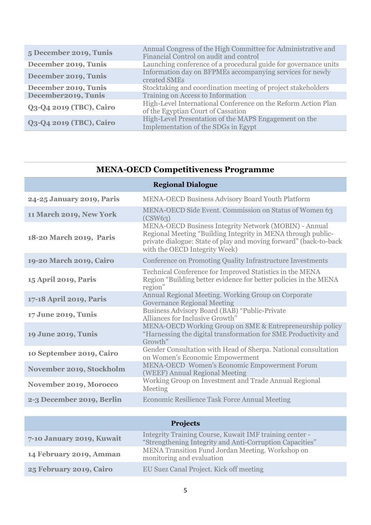| 5 December 2019, Tunis  | Annual Congress of the High Committee for Administrative and<br>Financial Control on audit and control |
|-------------------------|--------------------------------------------------------------------------------------------------------|
| December 2019, Tunis    | Launching conference of a procedural guide for governance units                                        |
| December 2019, Tunis    | Information day on BFPMEs accompanying services for newly<br>created SMEs                              |
| December 2019, Tunis    | Stocktaking and coordination meeting of project stakeholders                                           |
| December2019, Tunis     | Training on Access to Information                                                                      |
| Q3-Q4 2019 (TBC), Cairo | High-Level International Conference on the Reform Action Plan<br>of the Egyptian Court of Cassation    |
| Q3-Q4 2019 (TBC), Cairo | High-Level Presentation of the MAPS Engagement on the<br>Implementation of the SDGs in Egypt           |

| <b>MENA-OECD Competitiveness Programme</b> |  |  |
|--------------------------------------------|--|--|
|--------------------------------------------|--|--|

|                                | <b>Regional Dialogue</b>                                                                                                                                                                                                           |
|--------------------------------|------------------------------------------------------------------------------------------------------------------------------------------------------------------------------------------------------------------------------------|
| 24-25 January 2019, Paris      | <b>MENA-OECD Business Advisory Board Youth Platform</b>                                                                                                                                                                            |
| <b>11 March 2019, New York</b> | MENA-OECD Side Event. Commission on Status of Women 63<br>(CSW63)                                                                                                                                                                  |
| 18-20 March 2019, Paris        | <b>MENA-OECD Business Integrity Network (MOBIN) - Annual</b><br>Regional Meeting "Building Integrity in MENA through public-<br>private dialogue: State of play and moving forward" (back-to-back<br>with the OECD Integrity Week) |
| 19-20 March 2019, Cairo        | Conference on Promoting Quality Infrastructure Investments                                                                                                                                                                         |
| 15 April 2019, Paris           | Technical Conference for Improved Statistics in the MENA<br>Region "Building better evidence for better policies in the MENA<br>region"                                                                                            |
| 17-18 April 2019, Paris        | Annual Regional Meeting. Working Group on Corporate<br><b>Governance Regional Meeting</b>                                                                                                                                          |
| 17 June 2019, Tunis            | Business Advisory Board (BAB) "Public-Private<br>Alliances for Inclusive Growth"                                                                                                                                                   |
| 19 June 2019, Tunis            | MENA-OECD Working Group on SME & Entrepreneurship policy<br>"Harnessing the digital transformation for SME Productivity and<br>Growth"                                                                                             |
| 10 September 2019, Cairo       | Gender Consultation with Head of Sherpa. National consultation<br>on Women's Economic Empowerment                                                                                                                                  |
| November 2019, Stockholm       | MENA-OECD Women's Economic Empowerment Forum<br>(WEEF) Annual Regional Meeting                                                                                                                                                     |
| November 2019, Morocco         | Working Group on Investment and Trade Annual Regional<br>Meeting                                                                                                                                                                   |
| 2-3 December 2019, Berlin      | <b>Economic Resilience Task Force Annual Meeting</b>                                                                                                                                                                               |

| <b>Projects</b>           |                                                                                                                     |
|---------------------------|---------------------------------------------------------------------------------------------------------------------|
| 7-10 January 2019, Kuwait | Integrity Training Course, Kuwait IMF training center -<br>"Strengthening Integrity and Anti-Corruption Capacities" |
| 14 February 2019, Amman   | MENA Transition Fund Jordan Meeting. Workshop on<br>monitoring and evaluation                                       |
| 25 February 2019, Cairo   | EU Suez Canal Project. Kick off meeting                                                                             |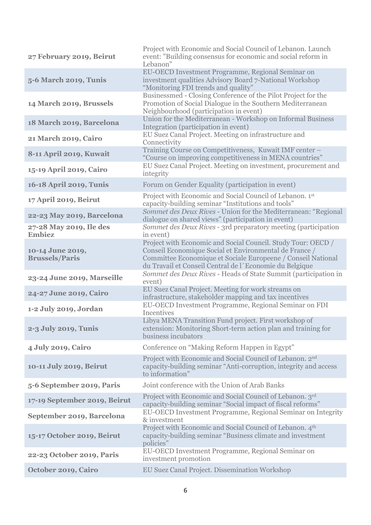| 27 February 2019, Beirut                           | Project with Economic and Social Council of Lebanon. Launch<br>event: "Building consensus for economic and social reform in<br>Lebanon"                                                                                                           |
|----------------------------------------------------|---------------------------------------------------------------------------------------------------------------------------------------------------------------------------------------------------------------------------------------------------|
| 5-6 March 2019, Tunis                              | EU-OECD Investment Programme, Regional Seminar on<br>investment qualities Advisory Board 7-National Workshop<br>"Monitoring FDI trends and quality"                                                                                               |
| 14 March 2019, Brussels                            | Businessmed - Closing Conference of the Pilot Project for the<br>Promotion of Social Dialogue in the Southern Mediterranean<br>Neighbourhood (participation in event)                                                                             |
| 18 March 2019, Barcelona                           | Union for the Mediterranean - Workshop on Informal Business<br>Integration (participation in event)                                                                                                                                               |
| 21 March 2019, Cairo                               | EU Suez Canal Project. Meeting on infrastructure and<br>Connectivity                                                                                                                                                                              |
| 8-11 April 2019, Kuwait<br>15-19 April 2019, Cairo | Training Course on Competitiveness, Kuwait IMF center -<br>"Course on improving competitiveness in MENA countries"<br>EU Suez Canal Project. Meeting on investment, procurement and                                                               |
| 16-18 April 2019, Tunis                            | integrity<br>Forum on Gender Equality (participation in event)                                                                                                                                                                                    |
| 17 April 2019, Beirut                              | Project with Economic and Social Council of Lebanon. 1st                                                                                                                                                                                          |
| 22-23 May 2019, Barcelona                          | capacity-building seminar "Institutions and tools"<br>Sommet des Deux Rives - Union for the Mediterranean: "Regional<br>dialogue on shared views" (participation in event)                                                                        |
| 27-28 May 2019, Ile des<br><b>Embiez</b>           | Sommet des Deux Rives - 3rd preparatory meeting (participation<br>in event)                                                                                                                                                                       |
| 10-14 June 2019,<br><b>Brussels/Paris</b>          | Project with Economic and Social Council. Study Tour: OECD /<br>Conseil Economique Social et Environmental de France /<br>Committee Economique et Sociale Europeene / Conseil National<br>du Travail et Conseil Central de l'Economie du Belgique |
| 23-24 June 2019, Marseille                         | Sommet des Deux Rives - Heads of State Summit (participation in<br>event)                                                                                                                                                                         |
| 24-27 June 2019, Cairo                             | EU Suez Canal Project. Meeting for work streams on<br>infrastructure, stakeholder mapping and tax incentives                                                                                                                                      |
| 1-2 July 2019, Jordan                              | EU-OECD Investment Programme, Regional Seminar on FDI<br>Incentives                                                                                                                                                                               |
| 2-3 July 2019, Tunis                               | Libya MENA Transition Fund project. First workshop of<br>extension: Monitoring Short-term action plan and training for<br>business incubators                                                                                                     |
| 4 July 2019, Cairo                                 | Conference on "Making Reform Happen in Egypt"                                                                                                                                                                                                     |
| 10-11 July 2019, Beirut                            | Project with Economic and Social Council of Lebanon. 2 <sup>nd</sup><br>capacity-building seminar "Anti-corruption, integrity and access<br>to information"                                                                                       |
| 5-6 September 2019, Paris                          | Joint conference with the Union of Arab Banks                                                                                                                                                                                                     |
| 17-19 September 2019, Beirut                       | Project with Economic and Social Council of Lebanon. 3rd<br>capacity-building seminar "Social impact of fiscal reforms"                                                                                                                           |
| September 2019, Barcelona                          | EU-OECD Investment Programme, Regional Seminar on Integrity<br>& investment                                                                                                                                                                       |
| 15-17 October 2019, Beirut                         | Project with Economic and Social Council of Lebanon. 4th<br>capacity-building seminar "Business climate and investment<br>policies"                                                                                                               |
| 22-23 October 2019, Paris                          | EU-OECD Investment Programme, Regional Seminar on<br>investment promotion                                                                                                                                                                         |
| October 2019, Cairo                                | EU Suez Canal Project. Dissemination Workshop                                                                                                                                                                                                     |